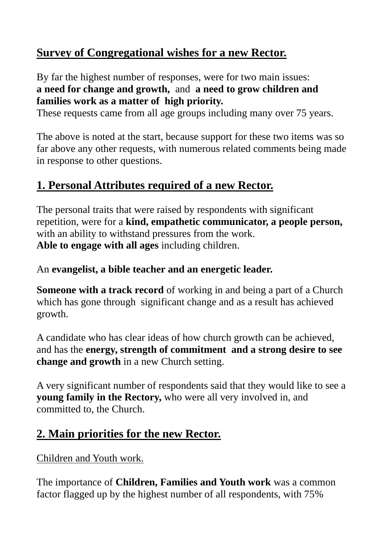## **Survey of Congregational wishes for a new Rector.**

By far the highest number of responses, were for two main issues: **a need for change and growth,** and **a need to grow children and families work as a matter of high priority.**

These requests came from all age groups including many over 75 years.

The above is noted at the start, because support for these two items was so far above any other requests, with numerous related comments being made in response to other questions.

## **1. Personal Attributes required of a new Rector.**

The personal traits that were raised by respondents with significant repetition, were for a **kind, empathetic communicator, a people person,** with an ability to withstand pressures from the work. **Able to engage with all ages** including children.

#### An **evangelist, a bible teacher and an energetic leader.**

**Someone with a track record** of working in and being a part of a Church which has gone through significant change and as a result has achieved growth.

A candidate who has clear ideas of how church growth can be achieved, and has the **energy, strength of commitment and a strong desire to see change and growth** in a new Church setting.

A very significant number of respondents said that they would like to see a **young family in the Rectory,** who were all very involved in, and committed to, the Church.

### **2. Main priorities for the new Rector.**

Children and Youth work.

The importance of **Children, Families and Youth work** was a common factor flagged up by the highest number of all respondents, with 75%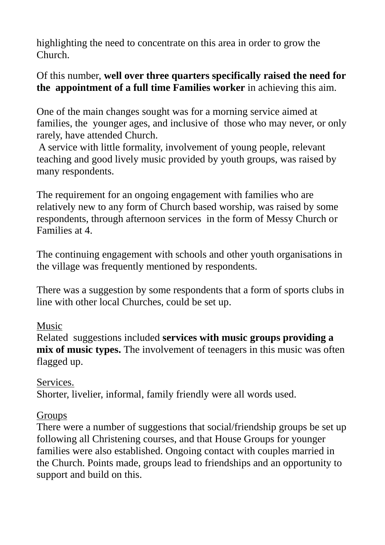highlighting the need to concentrate on this area in order to grow the Church.

#### Of this number, **well over three quarters specifically raised the need for the appointment of a full time Families worker** in achieving this aim.

One of the main changes sought was for a morning service aimed at families, the younger ages, and inclusive of those who may never, or only rarely, have attended Church.

A service with little formality, involvement of young people, relevant teaching and good lively music provided by youth groups, was raised by many respondents.

The requirement for an ongoing engagement with families who are relatively new to any form of Church based worship, was raised by some respondents, through afternoon services in the form of Messy Church or Families at 4.

The continuing engagement with schools and other youth organisations in the village was frequently mentioned by respondents.

There was a suggestion by some respondents that a form of sports clubs in line with other local Churches, could be set up.

### Music

Related suggestions included **services with music groups providing a mix of music types.** The involvement of teenagers in this music was often flagged up.

Services. Shorter, livelier, informal, family friendly were all words used.

#### **Groups**

There were a number of suggestions that social/friendship groups be set up following all Christening courses, and that House Groups for younger families were also established. Ongoing contact with couples married in the Church. Points made, groups lead to friendships and an opportunity to support and build on this.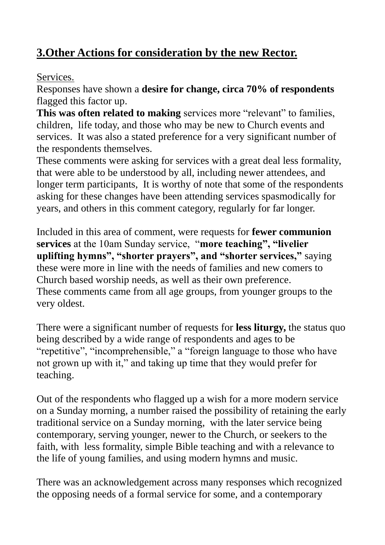# **3.Other Actions for consideration by the new Rector.**

### Services.

Responses have shown a **desire for change, circa 70% of respondents** flagged this factor up.

**This was often related to making** services more "relevant" to families, children, life today, and those who may be new to Church events and services. It was also a stated preference for a very significant number of the respondents themselves.

These comments were asking for services with a great deal less formality, that were able to be understood by all, including newer attendees, and longer term participants, It is worthy of note that some of the respondents asking for these changes have been attending services spasmodically for years, and others in this comment category, regularly for far longer.

Included in this area of comment, were requests for **fewer communion services** at the 10am Sunday service, "**more teaching", "livelier uplifting hymns", "shorter prayers", and "shorter services,"** saying these were more in line with the needs of families and new comers to Church based worship needs, as well as their own preference. These comments came from all age groups, from younger groups to the very oldest.

There were a significant number of requests for **less liturgy,** the status quo being described by a wide range of respondents and ages to be "repetitive", "incomprehensible," a "foreign language to those who have not grown up with it," and taking up time that they would prefer for teaching.

Out of the respondents who flagged up a wish for a more modern service on a Sunday morning, a number raised the possibility of retaining the early traditional service on a Sunday morning, with the later service being contemporary, serving younger, newer to the Church, or seekers to the faith, with less formality, simple Bible teaching and with a relevance to the life of young families, and using modern hymns and music.

There was an acknowledgement across many responses which recognized the opposing needs of a formal service for some, and a contemporary